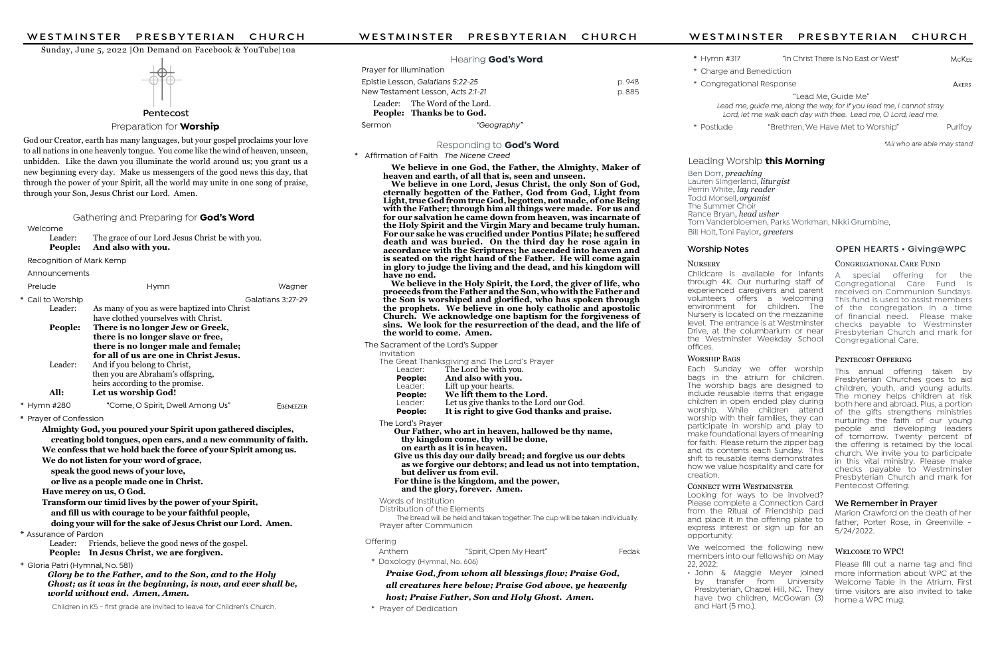#### Welcome

 Leader: The grace of our Lord Jesus Christ be with you. People: And also with you.

Recognition of Mark Kemp

Announcements

| Prelude                                                         | <b>Hymn</b>                                                          | Wagner            |  |  |  |  |
|-----------------------------------------------------------------|----------------------------------------------------------------------|-------------------|--|--|--|--|
| * Call to Worship                                               |                                                                      | Galatians 3:27-29 |  |  |  |  |
| Leader:                                                         | As many of you as were baptized into Christ                          |                   |  |  |  |  |
|                                                                 | have clothed yourselves with Christ.                                 |                   |  |  |  |  |
| People:                                                         | There is no longer Jew or Greek,                                     |                   |  |  |  |  |
|                                                                 | there is no longer slave or free,                                    |                   |  |  |  |  |
|                                                                 | there is no longer male and female;                                  |                   |  |  |  |  |
|                                                                 | for all of us are one in Christ Jesus.                               |                   |  |  |  |  |
| Leader:                                                         | And if you belong to Christ,                                         |                   |  |  |  |  |
|                                                                 | then you are Abraham's offspring,<br>heirs according to the promise. |                   |  |  |  |  |
| All:                                                            | Let us worship God!                                                  |                   |  |  |  |  |
|                                                                 |                                                                      |                   |  |  |  |  |
| * Hymn #280                                                     | "Come, O Spirit, Dwell Among Us"                                     | EBENEEZER         |  |  |  |  |
| * Prayer of Confession                                          |                                                                      |                   |  |  |  |  |
| Almighty God, you poured your Spirit upon gathered disciples,   |                                                                      |                   |  |  |  |  |
| creating bold tongues, open ears, and a new community of faith. |                                                                      |                   |  |  |  |  |
| We confess that we hold back the force of your Spirit among us. |                                                                      |                   |  |  |  |  |
| We do not listen for your word of grace,                        |                                                                      |                   |  |  |  |  |
| speak the good news of your love,                               |                                                                      |                   |  |  |  |  |
| or live as a people made one in Christ.                         |                                                                      |                   |  |  |  |  |
| Have mercy on us, O God.                                        |                                                                      |                   |  |  |  |  |
| Transform our timid lives by the power of your Spirit,          |                                                                      |                   |  |  |  |  |
| and fill ya with gaymaga ta ha yayu faithful naanla             |                                                                      |                   |  |  |  |  |

and fill us with courage to be your faithful people,

doing your will for the sake of Jesus Christ our Lord. Amen.

# \* Assurance of Pardon

 Leader: Friends, believe the good news of the gospel. People: In Jesus Christ, we are forgiven.

\* Gloria Patri (Hymnal, No. 581)

Glory be to the Father, and to the Son, and to the Holy Ghost; as it was in the beginning, is now, and ever shall be, world without end. Amen, Amen.

Children in K5 - first grade are invited to leave for Children's Church.



#### Preparation for **Worship**

#### Sunday, June 5, 2022 |On Demand on Facebook & YouTube|10a

Ben Dorr, preaching Lauren Slingerland, liturgist Perrin White, lay reader Todd Monsell, *organist* The Summer Choir Rance Bryan, head usher Tom Vanderbloemen, Parks Workman, Nikki Grumbine, Bill Holt, Toni Paylor, greeters

**NURSERY** Childcare is available for infants through 4K. Our nurturing staff of experienced caregivers and parent volunteers offers a welcoming environment for children. The Nursery is located on the mezzanine level. The entrance is at Westminster Drive, at the columbarium or near the Westminster Weekday School offices.

#### WORSHIP BAGS

Marion Crawford on the death of her father, Porter Rose, in Greenville - 5/24/2022.

#### WELCOME TO WPC!

# We Remember in Prayer

Each Sunday we offer worship bags in the atrium for children. The worship bags are designed to include reusable items that engage children in open ended play during worship. While children attend worship with their families, they can participate in worship and play to make foundational layers of meaning for faith. Please return the zipper bag and its contents each Sunday. This shift to reusable items demonstrates how we value hospitality and care for creation.

# CONNECT WITH WESTMINSTER

Praise God, from whom all blessings flow; Praise God, all creatures here below; Praise God above, ye heavenly host; Praise Father, Son and Holy Ghost. Amen.

Looking for ways to be involved? Please complete a Connection Card from the Ritual of Friendship pad and place it in the offering plate to express interest or sign up for an opportunity.

| WESTMINSTER<br>PRESBYTERIAN<br>CHURCH                      | WESTMINSTER                                                                                               | PRESBYTERIAN       | CHURCH                                                          | WESTMINSTER               | PRESBYTERIAN                         | CHURCH                                                                |  |  |
|------------------------------------------------------------|-----------------------------------------------------------------------------------------------------------|--------------------|-----------------------------------------------------------------|---------------------------|--------------------------------------|-----------------------------------------------------------------------|--|--|
| Sunday, June 5, 2022   On Demand on Facebook & YouTube 10a |                                                                                                           |                    |                                                                 |                           |                                      |                                                                       |  |  |
|                                                            |                                                                                                           | Hearing God's Word |                                                                 | * Hymn #317               | "In Christ There Is No East or West" | <b>MCKEE</b>                                                          |  |  |
|                                                            | Prayer for Illumination                                                                                   |                    |                                                                 | * Charge and Benediction  |                                      |                                                                       |  |  |
|                                                            | Epistle Lesson, Galatians 5:22-25                                                                         |                    | p. 948                                                          | * Congregational Response |                                      | AKERS                                                                 |  |  |
|                                                            | p. 885<br>New Testament Lesson, Acts 2:1-21<br>Leader: The Word of the Lord.<br>People: Thanks be to God. |                    |                                                                 |                           | "Lead Me, Guide Me"                  |                                                                       |  |  |
|                                                            |                                                                                                           |                    |                                                                 |                           |                                      | Lead me, guide me, along the way, for if you lead me, I cannot stray. |  |  |
| Pentecost                                                  |                                                                                                           |                    | Lord, let me walk each day with thee. Lead me, O Lord, lead me. |                           |                                      |                                                                       |  |  |
| Preparation for <b>Worship</b>                             | Sermon                                                                                                    | "Geography"        |                                                                 | * Postlude                | "Brethren, We Have Met to Worship"   | Purifoy                                                               |  |  |
|                                                            |                                                                                                           |                    |                                                                 |                           |                                      |                                                                       |  |  |

We welcomed the following new members into our fellowship on May 22, 2022: • John & Maggie Meyer joined

by transfer from University Presbyterian, Chapel Hill, NC. They have two children, McGowan (3) and Hart (5 mo.).

Please fill out a name tag and find more information about WPC at the Welcome Table in the Atrium. First time visitors are also invited to take home a WPC mug.

God our Creator, earth has many languages, but your gospel proclaims your love to all nations in one heavenly tongue. You come like the wind of heaven, unseen, unbidden. Like the dawn you illuminate the world around us; you grant us a new beginning every day. Make us messengers of the good news this day, that through the power of your Spirit, all the world may unite in one song of praise, through your Son, Jesus Christ our Lord. Amen.

#### Gathering and Preparing for **God's Word**

#### Responding to God's Word

#### \* Affirmation of Faith The Nicene Creed

 We believe in one God, the Father, the Almighty, Maker of heaven and earth, of all that is, seen and unseen.

 We believe in one Lord, Jesus Christ, the only Son of God, eternally begotten of the Father, God from God, Light from Light, true God from true God, begotten, not made, of one Being with the Father; through him all things were made. For us and for our salvation he came down from heaven, was incarnate of the Holy Spirit and the Virgin Mary and became truly human. For our sake he was crucified under Pontius Pilate; he suffered death and was buried. On the third day he rose again in accordance with the Scriptures; he ascended into heaven and is seated on the right hand of the Father. He will come again in glory to judge the living and the dead, and his kingdom will have no end.

 We believe in the Holy Spirit, the Lord, the giver of life, who proceeds from the Father and the Son, who with the Father and the Son is worshiped and glorified, who has spoken through the prophets. We believe in one holy catholic and apostolic Church. We acknowledge one baptism for the forgiveness of sins. We look for the resurrection of the dead, and the life of the world to come. Amen.

 The Sacrament of the Lord's Supper Invitation The Great Thanksgiving and The Lord's Prayer<br>Leader: The Lord be with you. Leader: The Lord be with you.<br>**People:** And also with you. **People:** And also with you.<br>Leader: Lift up your hearts. Leader: Lift up your hearts.<br> **People:** We lift them to the **People:** We lift them to the Lord.<br>Leader: Let us give thanks to the Lord Leader: Let us give thanks to the Lord our God.<br>**People:** It is right to give God thanks and p It is right to give God thanks and praise. The Lord's Prayer Our Father, who art in heaven, hallowed be thy name, thy kingdom come, thy will be done, on earth as it is in heaven. Give us this day our daily bread; and forgive us our debts as we forgive our debtors; and lead us not into temptation, but deliver us from evil. For thine is the kingdom, and the power, and the glory, forever. Amen. Words of Institution Distribution of the Elements

The bread will be held and taken together. The cup will be taken individually. Prayer after Communion

#### **Offering**

| Anthem                       | "Spirit, Open My Heart" | Fedak |
|------------------------------|-------------------------|-------|
| * Doxology (Hymnal, No. 606) |                         |       |

\* Prayer of Dedication

# Leading Worship this Morning

\*All who are able may stand

# Worship Notes **OPEN HEARTS • Giving@WPC**

### CONGREGATIONAL CARE FUND

This annual offering taken by Presbyterian Churches goes to aid children, youth, and young adults. The money helps children at risk both here and abroad. Plus, a portion of the gifts strengthens ministries nurturing the faith of our young people and developing leaders of tomorrow. Twenty percent of the offering is retained by the local church. We invite you to participate in this vital ministry. Please make checks payable to Westminster Presbyterian Church and mark for Pentecost Offering.

A special offering for the Congregational Care Fund is received on Communion Sundays. This fund is used to assist members of the congregation in a time of financial need. Please make checks payable to Westminster Presbyterian Church and mark for Congregational Care.

#### PENTECOST OFFERING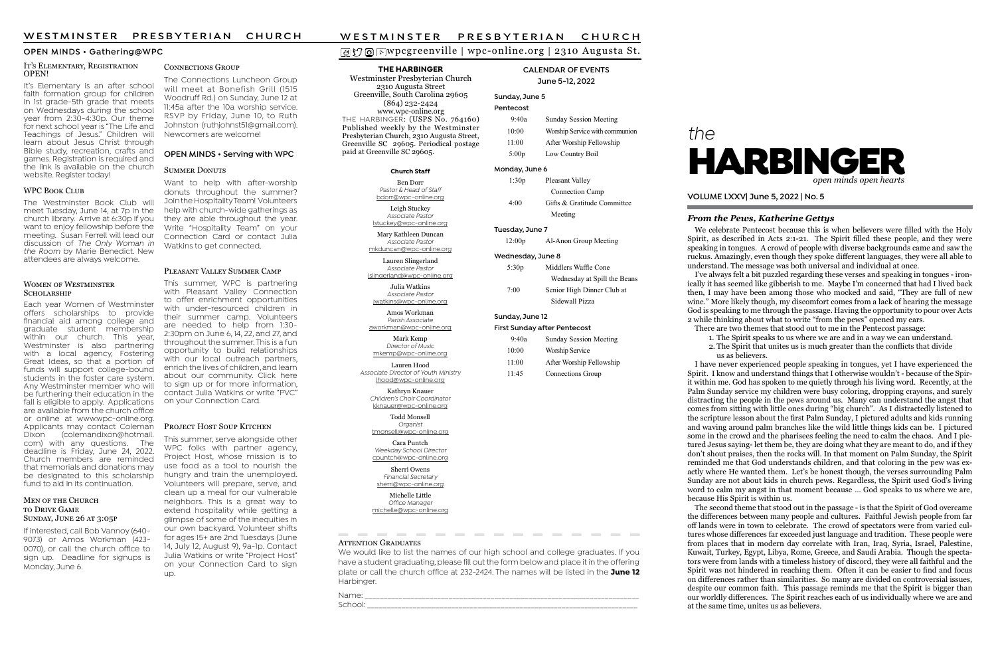# wpcgreenville | wpc-online.org | 2310 Augusta St.

# the



### From the Pews, Katherine Gettys

VOLUME LXXV| June 5, 2022 | No. 5

THE HARBINGER

Westminster Presbyterian Church 2310 Augusta Street Greenville, South Carolina 29605 (864) 232-2424 www.wpc-online.org THE HARBINGER: (USPS No. 764160) Published weekly by the Westminster Presbyterian Church, 2310 Augusta Street, Greenville SC 29605. Periodical postage paid at Greenville SC 29605.

#### CALENDAR OF EVENTS June 5-12, 2022

#### Sunday, June 5 Pentecost

9:40a Sunday Session Meeting

| 10:00                               | Worship Service with communion |  |  |  |
|-------------------------------------|--------------------------------|--|--|--|
| 11:00                               | After Worship Fellowship       |  |  |  |
| 5:00p                               | Low Country Boil               |  |  |  |
| Monday, June 6                      |                                |  |  |  |
| 1:30p                               | Pleasant Valley                |  |  |  |
|                                     | Connection Camp                |  |  |  |
| 4:00                                | Gifts & Gratitude Committee    |  |  |  |
|                                     | Meeting                        |  |  |  |
| Tuesday, June 7                     |                                |  |  |  |
| 12:00p                              | Al-Anon Group Meeting          |  |  |  |
| Wednesday, June 8                   |                                |  |  |  |
| 5:30p                               | Middlers Waffle Cone           |  |  |  |
|                                     | Wednesday at Spill the Beans   |  |  |  |
| 7:00                                | Senior High Dinner Club at     |  |  |  |
|                                     | Sidewall Pizza                 |  |  |  |
| Sunday, June 12                     |                                |  |  |  |
| <b>First Sunday after Pentecost</b> |                                |  |  |  |
| 9:40a                               | <b>Sunday Session Meeting</b>  |  |  |  |
| 10:00                               | <b>Worship Service</b>         |  |  |  |

 11:00 After Worship Fellowship 11:45 Connections Group

#### OPEN MINDS • Gathering@WPC

#### Church Staff

Ben Dorr Pastor & Head of Staff bdorr@wpc-online.org Leigh Stuckey

Associate Pastor lstuckey@wpc-online.org

Mary Kathleen Duncan Associate Pastor mkduncan@wpc-online.org

Lauren Slingerland Associate Pastor

lslingerland@wpc-online.org

Julia Watkins Associate Pastor jwatkins@wpc-online.org

Amos Workman Parish Associate aworkman@wpc-online.org

Mark Kemp Director of Music mkemp@wpc-online.org

Lauren Hood Associate Director of Youth Ministry lhood@wpc-online.org

Kathryn Knauer Children's Choir Coordinator kknauer@wpc-online.org

> Todd Monsell Organist

tmonsell@wpc-online.org Cara Puntch

Weekday School Director cpuntch@wpc-online.org

Sherri Owens Financial Secretary sherri@wpc-online.org

#### IT'S ELEMENTARY, REGISTRATION OPEN!

Michelle Little Office Manager michelle@wpc-online.org

#### **ATTENTION GRADUATES**

It's Elementary is an after school faith formation group for children in 1st grade-5th grade that meets on Wednesdays during the school year from 2:30-4:30p. Our theme for next school year is "The Life and Teachings of Jesus." Children will learn about Jesus Christ through Bible study, recreation, crafts and games. Registration is required and the link is available on the church website. Register today!

#### WPC BOOK CLUB

We would like to list the names of our high school and college graduates. If you have a student graduating, please fill out the form below and place it in the offering plate or call the church office at  $232-2424$ . The names will be listed in the June 12 Harbinger.

Name: \_\_\_\_\_\_\_\_\_\_\_\_\_\_\_\_\_\_\_\_\_\_\_\_\_\_\_\_\_\_\_\_\_\_\_\_\_\_\_\_\_\_\_\_\_\_\_\_\_\_\_\_\_\_\_\_\_\_\_\_\_\_\_\_\_\_\_\_\_\_\_\_ School: \_\_\_\_\_\_\_\_\_\_\_\_\_\_\_\_\_\_\_\_\_\_\_\_\_\_\_\_\_\_\_\_\_\_\_\_\_\_\_\_\_\_\_\_\_\_\_\_\_\_\_\_\_\_\_\_\_\_\_\_\_\_\_\_\_\_\_\_\_\_\_

We celebrate Pentecost because this is when believers were filled with the Holy Spirit, as described in Acts  $2:1-21$ . The Spirit filled these people, and they were speaking in tongues. A crowd of people with diverse backgrounds came and saw the ruckus. Amazingly, even though they spoke different languages, they were all able to understand. The message was both universal and individual at once.

The Connections Luncheon Group will meet at Bonefish Grill (1515 Woodruff Rd.) on Sunday, June 12 at 11:45a after the 10a worship service. RSVP by Friday, June 10, to Ruth Johnston (ruthjohnst51@gmail.com). Newcomers are welcome!

> 2. The Spirit that unites us is much greater than the conflicts that divide us as believers.

This summer, serve alongside other WPC folks with partner agency, Project Host, whose mission is to use food as a tool to nourish the hungry and train the unemployed. Volunteers will prepare, serve, and clean up a meal for our vulnerable neighbors. This is a great way to extend hospitality while getting a glimpse of some of the inequities in our own backyard. Volunteer shifts for ages 15+ are 2nd Tuesdays (June 14, July 12, August 9), 9a-1p. Contact Julia Watkins or write "Project Host" on your Connection Card to sign up.

# W E S T M I N S T E R PRESBYTERIAN CHURCH<br>  $\text{GVD} \text{ @Supcgreenville} \mid \text{wpc-online.org} \mid 2310 \text{ Augusta St.}$ THE HARBINGER CALENDAR OF EVENTS

This summer, WPC is partnering with Pleasant Valley Connection to offer enrichment opportunities with under-resourced children in their summer camp. Volunteers are needed to help from 1:30- 2:30pm on June 6, 14, 22, and 27, and throughout the summer. This is a fun opportunity to build relationships with our local outreach partners, enrich the lives of children, and learn about our community. Click here to sign up or for more information, contact Julia Watkins or write "PVC" on your Connection Card.

#### PROJECT HOST SOUP KITCHEN

#### OPEN MINDS • Serving with WPC

#### SUMMER DONUTS

The Westminster Book Club will meet Tuesday, June 14, at 7p in the church library. Arrive at 6:30p if you want to enjoy fellowship before the meeting. Susan Ferrell will lead our discussion of The Only Woman in the Room by Marie Benedict. New attendees are always welcome.

#### WOMEN OF WESTMINSTER SCHOLARSHIP

I've always felt a bit puzzled regarding these verses and speaking in tongues - ironically it has seemed like gibberish to me. Maybe I'm concerned that had I lived back then, I may have been among those who mocked and said, "They are full of new wine." More likely though, my discomfort comes from a lack of hearing the message God is speaking to me through the passage. Having the opportunity to pour over Acts 2 while thinking about what to write "from the pews" opened my ears.

There are two themes that stood out to me in the Pentecost passage:

1. The Spirit speaks to us where we are and in a way we can understand.

I have never experienced people speaking in tongues, yet I have experienced the Spirit. I know and understand things that I otherwise wouldn't - because of the Spirit within me. God has spoken to me quietly through his living word. Recently, at the Palm Sunday service my children were busy coloring, dropping crayons, and surely distracting the people in the pews around us. Many can understand the angst that comes from sitting with little ones during "big church". As I distractedly listened to the scripture lesson about the first Palm Sunday, I pictured adults and kids running and waving around palm branches like the wild little things kids can be. I pictured some in the crowd and the pharisees feeling the need to calm the chaos. And I pictured Jesus saying- let them be, they are doing what they are meant to do, and if they don't shout praises, then the rocks will. In that moment on Palm Sunday, the Spirit reminded me that God understands children, and that coloring in the pew was exactly where He wanted them. Let's be honest though, the verses surrounding Palm Sunday are not about kids in church pews. Regardless, the Spirit used God's living word to calm my angst in that moment because … God speaks to us where we are, because His Spirit is within us.

The second theme that stood out in the passage - is that the Spirit of God overcame the differences between many people and cultures. Faithful Jewish people from far off lands were in town to celebrate. The crowd of spectators were from varied cultures whose differences far exceeded just language and tradition. These people were from places that in modern day correlate with Iran, Iraq, Syria, Israel, Palestine, Kuwait, Turkey, Egypt, Libya, Rome, Greece, and Saudi Arabia. Though the spectators were from lands with a timeless history of discord, they were all faithful and the Spirit was not hindered in reaching them. Often it can be easier to find and focus on differences rather than similarities. So many are divided on controversial issues, despite our common faith. This passage reminds me that the Spirit is bigger than our worldly differences. The Spirit reaches each of us individually where we are and at the same time, unites us as believers.

Each year Women of Westminster offers scholarships to provide financial aid among college and graduate student membership within our church. This year, Westminster is also partnering with a local agency, Fostering Great Ideas, so that a portion of funds will support college-bound students in the foster care system. Any Westminster member who will be furthering their education in the fall is eligible to apply. Applications are available from the church office or online at www.wpc-online.org. Applicants may contact Coleman<br>Dixon (colemandixon@hotmail. (colemandixon@hotmail. com) with any questions. The deadline is Friday, June 24, 2022. Church members are reminded that memorials and donations may be designated to this scholarship fund to aid in its continuation.

#### MEN OF THE CHURCH TO DRIVE GAME SUNDAY, JUNE 26 AT 3:05P

If interested, call Bob Vannoy (640- 9073) or Amos Workman (423- 0070), or call the church office to sign up. Deadline for signups is Monday, June 6.

#### CONNECTIONS GROUP

Want to help with after-worship donuts throughout the summer? Join the Hospitality Team! Volunteers help with church-wide gatherings as they are able throughout the year. Write "Hospitality Team" on your Connection Card or contact Julia Watkins to get connected.

#### PLEASANT VALLEY SUMMER CAMP